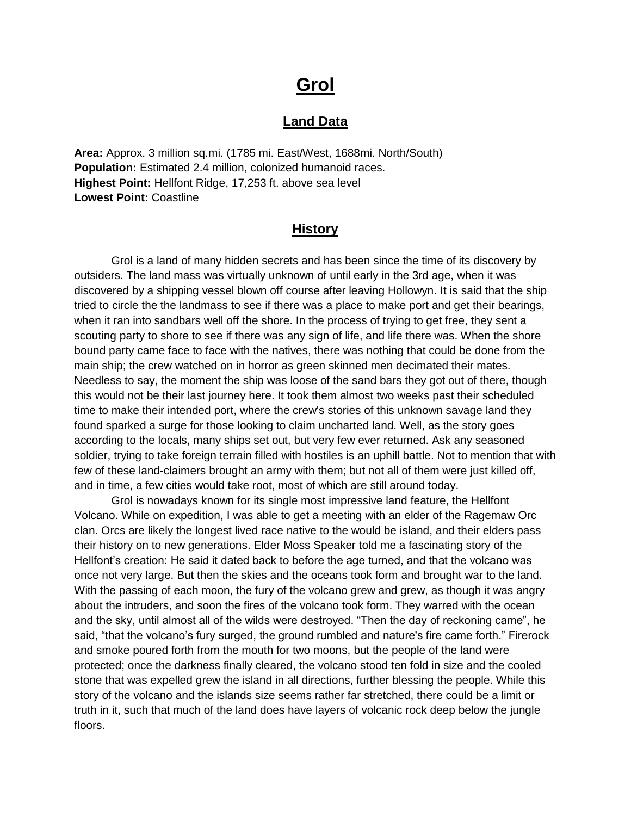# **Grol**

#### **Land Data**

**Area:** Approx. 3 million sq.mi. (1785 mi. East/West, 1688mi. North/South) **Population:** Estimated 2.4 million, colonized humanoid races. **Highest Point:** Hellfont Ridge, 17,253 ft. above sea level **Lowest Point:** Coastline

#### **History**

 Grol is a land of many hidden secrets and has been since the time of its discovery by outsiders. The land mass was virtually unknown of until early in the 3rd age, when it was discovered by a shipping vessel blown off course after leaving Hollowyn. It is said that the ship tried to circle the the landmass to see if there was a place to make port and get their bearings, when it ran into sandbars well off the shore. In the process of trying to get free, they sent a scouting party to shore to see if there was any sign of life, and life there was. When the shore bound party came face to face with the natives, there was nothing that could be done from the main ship; the crew watched on in horror as green skinned men decimated their mates. Needless to say, the moment the ship was loose of the sand bars they got out of there, though this would not be their last journey here. It took them almost two weeks past their scheduled time to make their intended port, where the crew's stories of this unknown savage land they found sparked a surge for those looking to claim uncharted land. Well, as the story goes according to the locals, many ships set out, but very few ever returned. Ask any seasoned soldier, trying to take foreign terrain filled with hostiles is an uphill battle. Not to mention that with few of these land-claimers brought an army with them; but not all of them were just killed off, and in time, a few cities would take root, most of which are still around today.

 Grol is nowadays known for its single most impressive land feature, the Hellfont Volcano. While on expedition, I was able to get a meeting with an elder of the Ragemaw Orc clan. Orcs are likely the longest lived race native to the would be island, and their elders pass their history on to new generations. Elder Moss Speaker told me a fascinating story of the Hellfont's creation: He said it dated back to before the age turned, and that the volcano was once not very large. But then the skies and the oceans took form and brought war to the land. With the passing of each moon, the fury of the volcano grew and grew, as though it was angry about the intruders, and soon the fires of the volcano took form. They warred with the ocean and the sky, until almost all of the wilds were destroyed. "Then the day of reckoning came", he said, "that the volcano's fury surged, the ground rumbled and nature's fire came forth." Firerock and smoke poured forth from the mouth for two moons, but the people of the land were protected; once the darkness finally cleared, the volcano stood ten fold in size and the cooled stone that was expelled grew the island in all directions, further blessing the people. While this story of the volcano and the islands size seems rather far stretched, there could be a limit or truth in it, such that much of the land does have layers of volcanic rock deep below the jungle floors.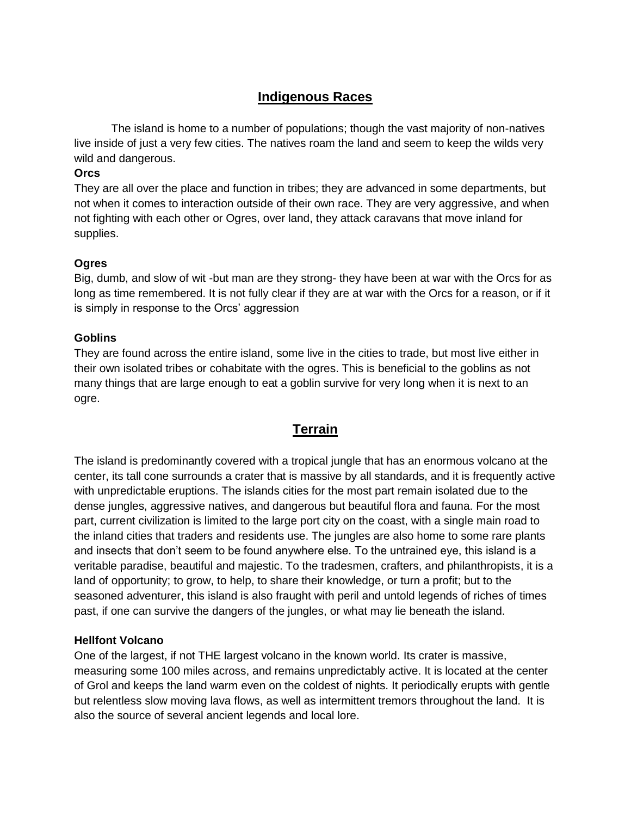### **Indigenous Races**

 The island is home to a number of populations; though the vast majority of non-natives live inside of just a very few cities. The natives roam the land and seem to keep the wilds very wild and dangerous.

#### **Orcs**

They are all over the place and function in tribes; they are advanced in some departments, but not when it comes to interaction outside of their own race. They are very aggressive, and when not fighting with each other or Ogres, over land, they attack caravans that move inland for supplies.

#### **Ogres**

Big, dumb, and slow of wit -but man are they strong- they have been at war with the Orcs for as long as time remembered. It is not fully clear if they are at war with the Orcs for a reason, or if it is simply in response to the Orcs' aggression

#### **Goblins**

They are found across the entire island, some live in the cities to trade, but most live either in their own isolated tribes or cohabitate with the ogres. This is beneficial to the goblins as not many things that are large enough to eat a goblin survive for very long when it is next to an ogre.

### **Terrain**

The island is predominantly covered with a tropical jungle that has an enormous volcano at the center, its tall cone surrounds a crater that is massive by all standards, and it is frequently active with unpredictable eruptions. The islands cities for the most part remain isolated due to the dense jungles, aggressive natives, and dangerous but beautiful flora and fauna. For the most part, current civilization is limited to the large port city on the coast, with a single main road to the inland cities that traders and residents use. The jungles are also home to some rare plants and insects that don't seem to be found anywhere else. To the untrained eye, this island is a veritable paradise, beautiful and majestic. To the tradesmen, crafters, and philanthropists, it is a land of opportunity; to grow, to help, to share their knowledge, or turn a profit; but to the seasoned adventurer, this island is also fraught with peril and untold legends of riches of times past, if one can survive the dangers of the jungles, or what may lie beneath the island.

#### **Hellfont Volcano**

One of the largest, if not THE largest volcano in the known world. Its crater is massive, measuring some 100 miles across, and remains unpredictably active. It is located at the center of Grol and keeps the land warm even on the coldest of nights. It periodically erupts with gentle but relentless slow moving lava flows, as well as intermittent tremors throughout the land. It is also the source of several ancient legends and local lore.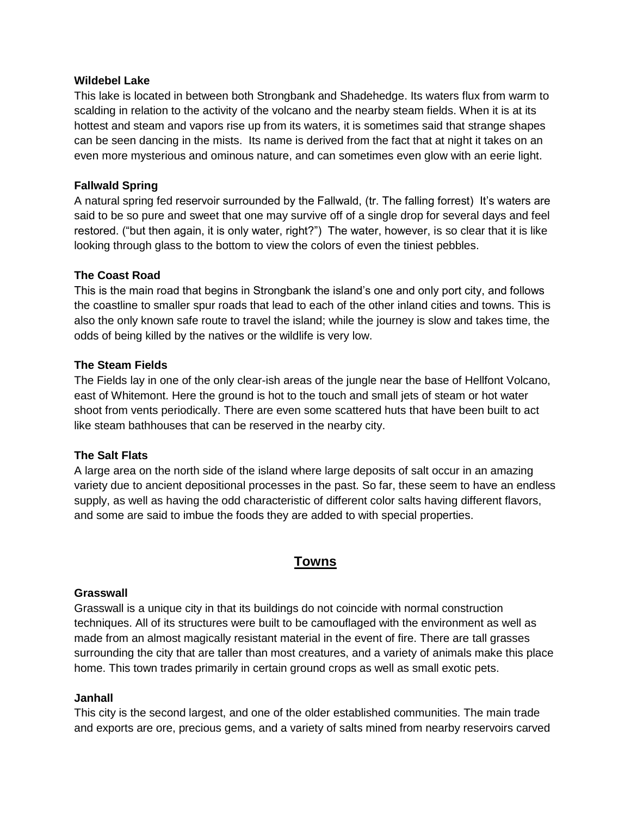#### **Wildebel Lake**

This lake is located in between both Strongbank and Shadehedge. Its waters flux from warm to scalding in relation to the activity of the volcano and the nearby steam fields. When it is at its hottest and steam and vapors rise up from its waters, it is sometimes said that strange shapes can be seen dancing in the mists. Its name is derived from the fact that at night it takes on an even more mysterious and ominous nature, and can sometimes even glow with an eerie light.

#### **Fallwald Spring**

A natural spring fed reservoir surrounded by the Fallwald, (tr. The falling forrest) It's waters are said to be so pure and sweet that one may survive off of a single drop for several days and feel restored. ("but then again, it is only water, right?") The water, however, is so clear that it is like looking through glass to the bottom to view the colors of even the tiniest pebbles.

#### **The Coast Road**

This is the main road that begins in Strongbank the island's one and only port city, and follows the coastline to smaller spur roads that lead to each of the other inland cities and towns. This is also the only known safe route to travel the island; while the journey is slow and takes time, the odds of being killed by the natives or the wildlife is very low.

#### **The Steam Fields**

The Fields lay in one of the only clear-ish areas of the jungle near the base of Hellfont Volcano, east of Whitemont. Here the ground is hot to the touch and small jets of steam or hot water shoot from vents periodically. There are even some scattered huts that have been built to act like steam bathhouses that can be reserved in the nearby city.

#### **The Salt Flats**

A large area on the north side of the island where large deposits of salt occur in an amazing variety due to ancient depositional processes in the past. So far, these seem to have an endless supply, as well as having the odd characteristic of different color salts having different flavors, and some are said to imbue the foods they are added to with special properties.

### **Towns**

#### **Grasswall**

Grasswall is a unique city in that its buildings do not coincide with normal construction techniques. All of its structures were built to be camouflaged with the environment as well as made from an almost magically resistant material in the event of fire. There are tall grasses surrounding the city that are taller than most creatures, and a variety of animals make this place home. This town trades primarily in certain ground crops as well as small exotic pets.

#### **Janhall**

This city is the second largest, and one of the older established communities. The main trade and exports are ore, precious gems, and a variety of salts mined from nearby reservoirs carved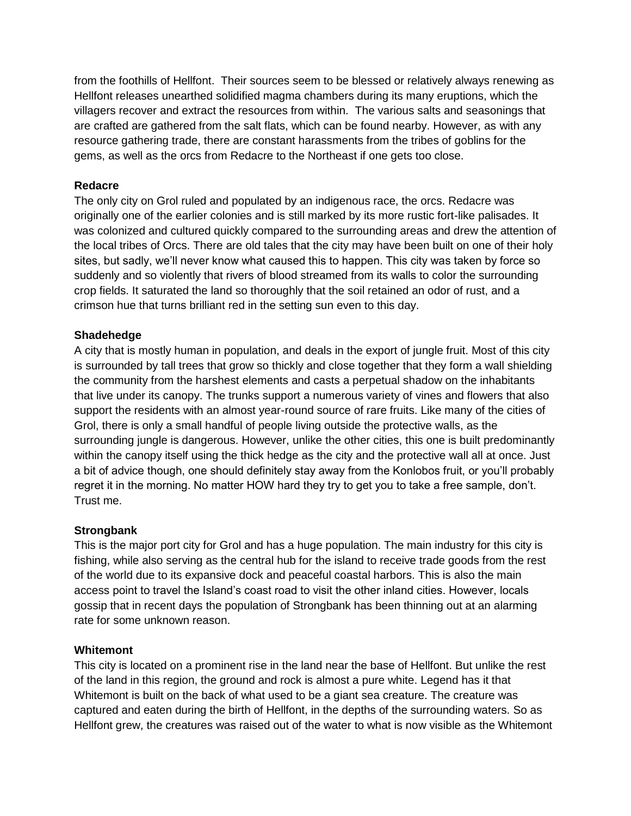from the foothills of Hellfont. Their sources seem to be blessed or relatively always renewing as Hellfont releases unearthed solidified magma chambers during its many eruptions, which the villagers recover and extract the resources from within. The various salts and seasonings that are crafted are gathered from the salt flats, which can be found nearby. However, as with any resource gathering trade, there are constant harassments from the tribes of goblins for the gems, as well as the orcs from Redacre to the Northeast if one gets too close.

#### **Redacre**

The only city on Grol ruled and populated by an indigenous race, the orcs. Redacre was originally one of the earlier colonies and is still marked by its more rustic fort-like palisades. It was colonized and cultured quickly compared to the surrounding areas and drew the attention of the local tribes of Orcs. There are old tales that the city may have been built on one of their holy sites, but sadly, we'll never know what caused this to happen. This city was taken by force so suddenly and so violently that rivers of blood streamed from its walls to color the surrounding crop fields. It saturated the land so thoroughly that the soil retained an odor of rust, and a crimson hue that turns brilliant red in the setting sun even to this day.

#### **Shadehedge**

A city that is mostly human in population, and deals in the export of jungle fruit. Most of this city is surrounded by tall trees that grow so thickly and close together that they form a wall shielding the community from the harshest elements and casts a perpetual shadow on the inhabitants that live under its canopy. The trunks support a numerous variety of vines and flowers that also support the residents with an almost year-round source of rare fruits. Like many of the cities of Grol, there is only a small handful of people living outside the protective walls, as the surrounding jungle is dangerous. However, unlike the other cities, this one is built predominantly within the canopy itself using the thick hedge as the city and the protective wall all at once. Just a bit of advice though, one should definitely stay away from the Konlobos fruit, or you'll probably regret it in the morning. No matter HOW hard they try to get you to take a free sample, don't. Trust me.

#### **Strongbank**

This is the major port city for Grol and has a huge population. The main industry for this city is fishing, while also serving as the central hub for the island to receive trade goods from the rest of the world due to its expansive dock and peaceful coastal harbors. This is also the main access point to travel the Island's coast road to visit the other inland cities. However, locals gossip that in recent days the population of Strongbank has been thinning out at an alarming rate for some unknown reason.

#### **Whitemont**

This city is located on a prominent rise in the land near the base of Hellfont. But unlike the rest of the land in this region, the ground and rock is almost a pure white. Legend has it that Whitemont is built on the back of what used to be a giant sea creature. The creature was captured and eaten during the birth of Hellfont, in the depths of the surrounding waters. So as Hellfont grew, the creatures was raised out of the water to what is now visible as the Whitemont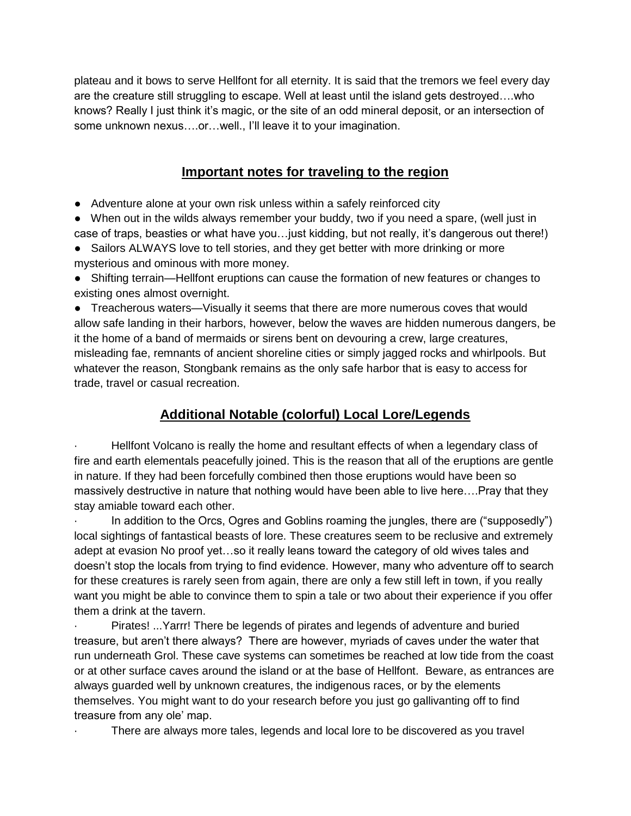plateau and it bows to serve Hellfont for all eternity. It is said that the tremors we feel every day are the creature still struggling to escape. Well at least until the island gets destroyed….who knows? Really I just think it's magic, or the site of an odd mineral deposit, or an intersection of some unknown nexus....or...well., I'll leave it to your imagination.

### **Important notes for traveling to the region**

- Adventure alone at your own risk unless within a safely reinforced city
- When out in the wilds always remember your buddy, two if you need a spare, (well just in case of traps, beasties or what have you…just kidding, but not really, it's dangerous out there!)
- Sailors ALWAYS love to tell stories, and they get better with more drinking or more mysterious and ominous with more money.
- Shifting terrain—Hellfont eruptions can cause the formation of new features or changes to existing ones almost overnight.

● Treacherous waters—Visually it seems that there are more numerous coves that would allow safe landing in their harbors, however, below the waves are hidden numerous dangers, be it the home of a band of mermaids or sirens bent on devouring a crew, large creatures, misleading fae, remnants of ancient shoreline cities or simply jagged rocks and whirlpools. But whatever the reason, Stongbank remains as the only safe harbor that is easy to access for trade, travel or casual recreation.

## **Additional Notable (colorful) Local Lore/Legends**

Hellfont Volcano is really the home and resultant effects of when a legendary class of fire and earth elementals peacefully joined. This is the reason that all of the eruptions are gentle in nature. If they had been forcefully combined then those eruptions would have been so massively destructive in nature that nothing would have been able to live here….Pray that they stay amiable toward each other.

In addition to the Orcs, Ogres and Goblins roaming the jungles, there are ("supposedly") local sightings of fantastical beasts of lore. These creatures seem to be reclusive and extremely adept at evasion No proof yet…so it really leans toward the category of old wives tales and doesn't stop the locals from trying to find evidence. However, many who adventure off to search for these creatures is rarely seen from again, there are only a few still left in town, if you really want you might be able to convince them to spin a tale or two about their experience if you offer them a drink at the tavern.

Pirates! ... Yarrr! There be legends of pirates and legends of adventure and buried treasure, but aren't there always? There are however, myriads of caves under the water that run underneath Grol. These cave systems can sometimes be reached at low tide from the coast or at other surface caves around the island or at the base of Hellfont. Beware, as entrances are always guarded well by unknown creatures, the indigenous races, or by the elements themselves. You might want to do your research before you just go gallivanting off to find treasure from any ole' map.

There are always more tales, legends and local lore to be discovered as you travel